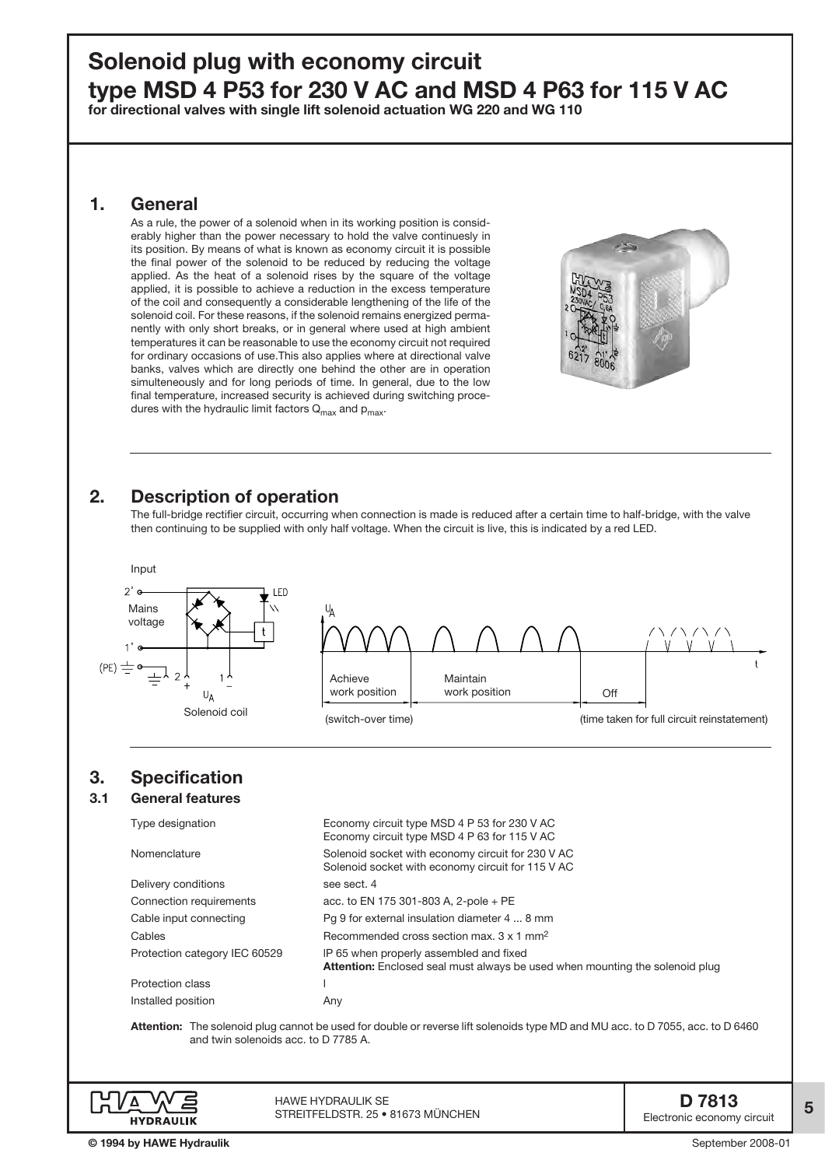# Solenoid plug with economy circuit type MSD 4 P53 for 230 V AC and MSD 4 P63 for 115 V AC

for directional valves with single lift solenoid actuation WG 220 and WG 110

## 1. General

As a rule, the power of a solenoid when in its working position is considerably higher than the power necessary to hold the valve continuesly in its position. By means of what is known as economy circuit it is possible the final power of the solenoid to be reduced by reducing the voltage applied. As the heat of a solenoid rises by the square of the voltage applied, it is possible to achieve a reduction in the excess temperature of the coil and consequently a considerable lengthening of the life of the solenoid coil. For these reasons, if the solenoid remains energized permanently with only short breaks, or in general where used at high ambient temperatures it can be reasonable to use the economy circuit not required for ordinary occasions of use.This also applies where at directional valve banks, valves which are directly one behind the other are in operation simulteneously and for long periods of time. In general, due to the low final temperature, increased security is achieved during switching procedures with the hydraulic limit factors  $Q_{\text{max}}$  and  $p_{\text{max}}$ .



# 2. Description of operation

The full-bridge rectifier circuit, occurring when connection is made is reduced after a certain time to half-bridge, with the valve then continuing to be supplied with only half voltage. When the circuit is live, this is indicated by a red LED.





HAWE Hydraulik SE STREITFELDSTR. 25 • 81673 MÜNCHEN 5 **STREITFELDSTR. 25 • 81673** MÜNCHEN 5 **STREITFELDSTR. 25 • 81673** MÜNCHEN